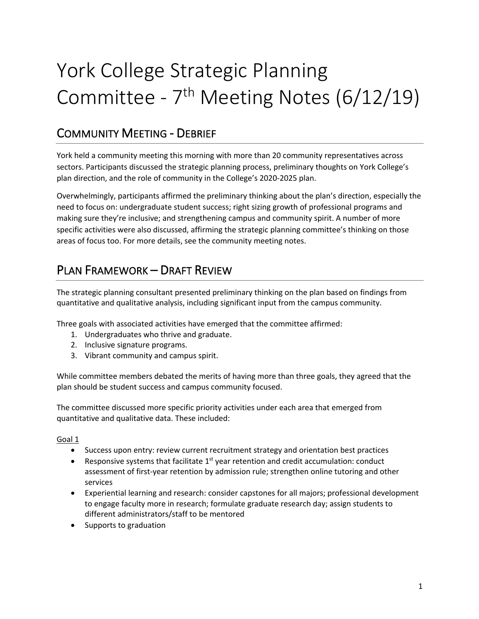# York College Strategic Planning Committee -  $7<sup>th</sup>$  Meeting Notes (6/12/19)

## COMMUNITY MEETING - DEBRIEF

York held a community meeting this morning with more than 20 community representatives across sectors. Participants discussed the strategic planning process, preliminary thoughts on York College's plan direction, and the role of community in the College's 2020-2025 plan.

Overwhelmingly, participants affirmed the preliminary thinking about the plan's direction, especially the need to focus on: undergraduate student success; right sizing growth of professional programs and making sure they're inclusive; and strengthening campus and community spirit. A number of more specific activities were also discussed, affirming the strategic planning committee's thinking on those areas of focus too. For more details, see the community meeting notes.

## PLAN FRAMEWORK – DRAFT REVIEW

The strategic planning consultant presented preliminary thinking on the plan based on findings from quantitative and qualitative analysis, including significant input from the campus community.

Three goals with associated activities have emerged that the committee affirmed:

- 1. Undergraduates who thrive and graduate.
- 2. Inclusive signature programs.
- 3. Vibrant community and campus spirit.

While committee members debated the merits of having more than three goals, they agreed that the plan should be student success and campus community focused.

The committee discussed more specific priority activities under each area that emerged from quantitative and qualitative data. These included:

#### Goal 1

- Success upon entry: review current recruitment strategy and orientation best practices
- Responsive systems that facilitate  $1<sup>st</sup>$  year retention and credit accumulation: conduct assessment of first-year retention by admission rule; strengthen online tutoring and other services
- Experiential learning and research: consider capstones for all majors; professional development to engage faculty more in research; formulate graduate research day; assign students to different administrators/staff to be mentored
- Supports to graduation